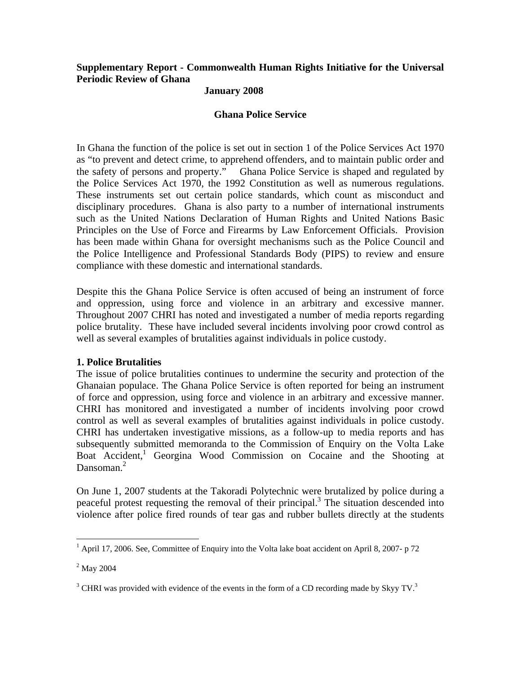# **Supplementary Report - Commonwealth Human Rights Initiative for the Universal Periodic Review of Ghana**

### **January 2008**

#### **Ghana Police Service**

In Ghana the function of the police is set out in section 1 of the Police Services Act 1970 as "to prevent and detect crime, to apprehend offenders, and to maintain public order and the safety of persons and property." Ghana Police Service is shaped and regulated by the Police Services Act 1970, the 1992 Constitution as well as numerous regulations. These instruments set out certain police standards, which count as misconduct and disciplinary procedures. Ghana is also party to a number of international instruments such as the United Nations Declaration of Human Rights and United Nations Basic Principles on the Use of Force and Firearms by Law Enforcement Officials. Provision has been made within Ghana for oversight mechanisms such as the Police Council and the Police Intelligence and Professional Standards Body (PIPS) to review and ensure compliance with these domestic and international standards.

Despite this the Ghana Police Service is often accused of being an instrument of force and oppression, using force and violence in an arbitrary and excessive manner. Throughout 2007 CHRI has noted and investigated a number of media reports regarding police brutality. These have included several incidents involving poor crowd control as well as several examples of brutalities against individuals in police custody.

#### **1. Police Brutalities**

The issue of police brutalities continues to undermine the security and protection of the Ghanaian populace. The Ghana Police Service is often reported for being an instrument of force and oppression, using force and violence in an arbitrary and excessive manner. CHRI has monitored and investigated a number of incidents involving poor crowd control as well as several examples of brutalities against individuals in police custody. CHRI has undertaken investigative missions, as a follow-up to media reports and has subsequently submitted memoranda to the Commission of Enquiry on the Volta Lake Boat Accident,<sup>1</sup> Georgina Wood Commission on Cocaine and the Shooting at Dansoman.<sup>2</sup>

On June 1, 2007 students at the Takoradi Polytechnic were brutalized by police during a peaceful protest requesting the removal of their principal.<sup>3</sup> The situation descended into violence after police fired rounds of tear gas and rubber bullets directly at the students

 1 April 17, 2006. See, Committee of Enquiry into the Volta lake boat accident on April 8, 2007- p 72

 $^2$  May 2004

 $3$  CHRI was provided with evidence of the events in the form of a CD recording made by Skyy TV.<sup>3</sup>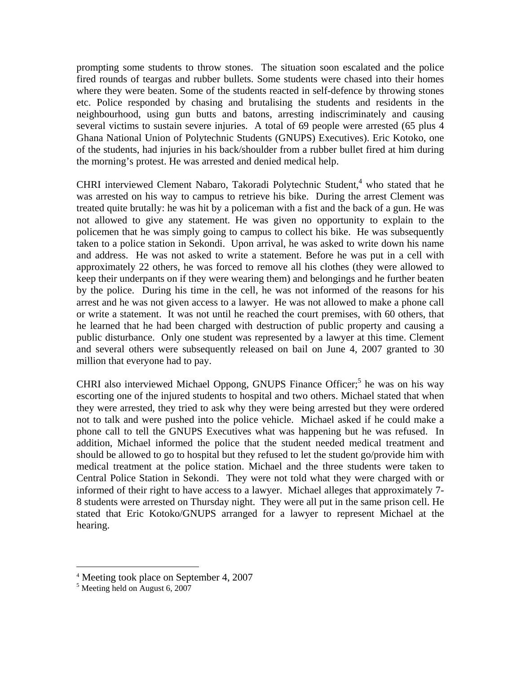prompting some students to throw stones. The situation soon escalated and the police fired rounds of teargas and rubber bullets. Some students were chased into their homes where they were beaten. Some of the students reacted in self-defence by throwing stones etc. Police responded by chasing and brutalising the students and residents in the neighbourhood, using gun butts and batons, arresting indiscriminately and causing several victims to sustain severe injuries. A total of 69 people were arrested (65 plus 4 Ghana National Union of Polytechnic Students (GNUPS) Executives). Eric Kotoko, one of the students, had injuries in his back/shoulder from a rubber bullet fired at him during the morning's protest. He was arrested and denied medical help.

CHRI interviewed Clement Nabaro, Takoradi Polytechnic Student,<sup>4</sup> who stated that he was arrested on his way to campus to retrieve his bike. During the arrest Clement was treated quite brutally: he was hit by a policeman with a fist and the back of a gun. He was not allowed to give any statement. He was given no opportunity to explain to the policemen that he was simply going to campus to collect his bike. He was subsequently taken to a police station in Sekondi. Upon arrival, he was asked to write down his name and address. He was not asked to write a statement. Before he was put in a cell with approximately 22 others, he was forced to remove all his clothes (they were allowed to keep their underpants on if they were wearing them) and belongings and he further beaten by the police. During his time in the cell, he was not informed of the reasons for his arrest and he was not given access to a lawyer. He was not allowed to make a phone call or write a statement. It was not until he reached the court premises, with 60 others, that he learned that he had been charged with destruction of public property and causing a public disturbance. Only one student was represented by a lawyer at this time. Clement and several others were subsequently released on bail on June 4, 2007 granted to 30 million that everyone had to pay.

CHRI also interviewed Michael Oppong, GNUPS Finance Officer;<sup>5</sup> he was on his way escorting one of the injured students to hospital and two others. Michael stated that when they were arrested, they tried to ask why they were being arrested but they were ordered not to talk and were pushed into the police vehicle. Michael asked if he could make a phone call to tell the GNUPS Executives what was happening but he was refused. In addition, Michael informed the police that the student needed medical treatment and should be allowed to go to hospital but they refused to let the student go/provide him with medical treatment at the police station. Michael and the three students were taken to Central Police Station in Sekondi. They were not told what they were charged with or informed of their right to have access to a lawyer. Michael alleges that approximately 7- 8 students were arrested on Thursday night. They were all put in the same prison cell. He stated that Eric Kotoko/GNUPS arranged for a lawyer to represent Michael at the hearing.

<sup>4</sup> Meeting took place on September 4, 2007

<sup>5</sup> Meeting held on August 6, 2007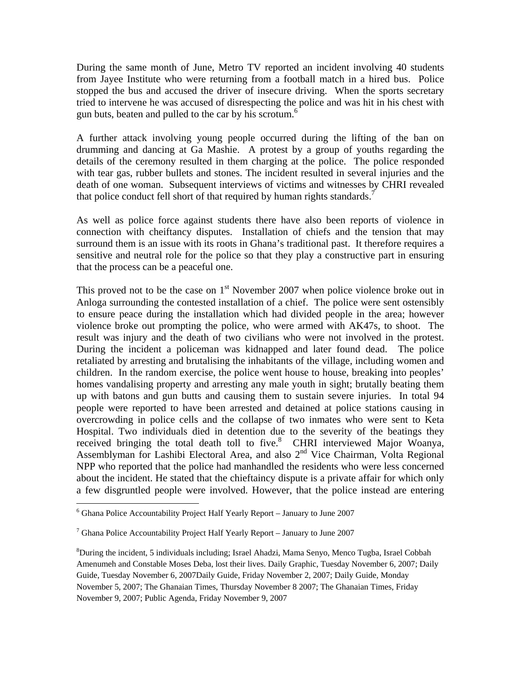During the same month of June, Metro TV reported an incident involving 40 students from Jayee Institute who were returning from a football match in a hired bus. Police stopped the bus and accused the driver of insecure driving. When the sports secretary tried to intervene he was accused of disrespecting the police and was hit in his chest with gun buts, beaten and pulled to the car by his scrotum.<sup>6</sup>

A further attack involving young people occurred during the lifting of the ban on drumming and dancing at Ga Mashie. A protest by a group of youths regarding the details of the ceremony resulted in them charging at the police. The police responded with tear gas, rubber bullets and stones. The incident resulted in several injuries and the death of one woman. Subsequent interviews of victims and witnesses by CHRI revealed that police conduct fell short of that required by human rights standards.<sup>7</sup>

As well as police force against students there have also been reports of violence in connection with cheiftancy disputes. Installation of chiefs and the tension that may surround them is an issue with its roots in Ghana's traditional past. It therefore requires a sensitive and neutral role for the police so that they play a constructive part in ensuring that the process can be a peaceful one.

This proved not to be the case on  $1<sup>st</sup>$  November 2007 when police violence broke out in Anloga surrounding the contested installation of a chief. The police were sent ostensibly to ensure peace during the installation which had divided people in the area; however violence broke out prompting the police, who were armed with AK47s, to shoot. The result was injury and the death of two civilians who were not involved in the protest. During the incident a policeman was kidnapped and later found dead. The police retaliated by arresting and brutalising the inhabitants of the village, including women and children. In the random exercise, the police went house to house, breaking into peoples' homes vandalising property and arresting any male youth in sight; brutally beating them up with batons and gun butts and causing them to sustain severe injuries. In total 94 people were reported to have been arrested and detained at police stations causing in overcrowding in police cells and the collapse of two inmates who were sent to Keta Hospital. Two individuals died in detention due to the severity of the beatings they received bringing the total death toll to five. $8$  CHRI interviewed Major Woanya, Assemblyman for Lashibi Electoral Area, and also  $2<sup>nd</sup>$  Vice Chairman, Volta Regional NPP who reported that the police had manhandled the residents who were less concerned about the incident. He stated that the chieftaincy dispute is a private affair for which only a few disgruntled people were involved. However, that the police instead are entering

<sup>&</sup>lt;sup>6</sup> Ghana Police Accountability Project Half Yearly Report – January to June 2007

<sup>&</sup>lt;sup>7</sup> Ghana Police Accountability Project Half Yearly Report – January to June 2007

<sup>8</sup> During the incident, 5 individuals including; Israel Ahadzi, Mama Senyo, Menco Tugba, Israel Cobbah Amenumeh and Constable Moses Deba, lost their lives. Daily Graphic, Tuesday November 6, 2007; Daily Guide, Tuesday November 6, 2007Daily Guide, Friday November 2, 2007; Daily Guide, Monday November 5, 2007; The Ghanaian Times, Thursday November 8 2007; The Ghanaian Times, Friday November 9, 2007; Public Agenda, Friday November 9, 2007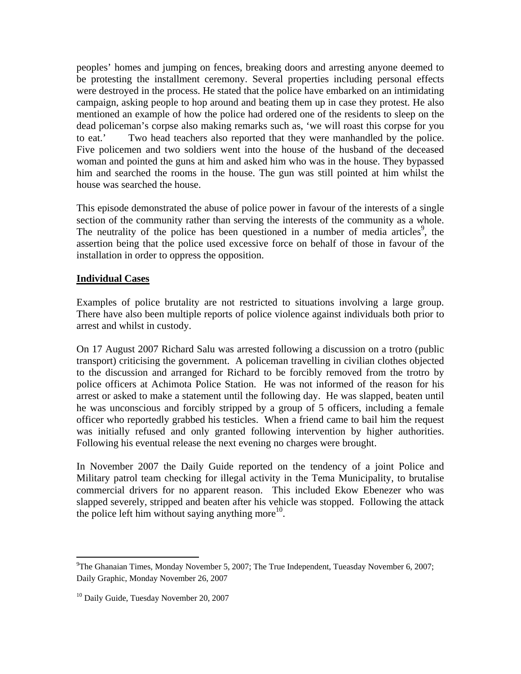peoples' homes and jumping on fences, breaking doors and arresting anyone deemed to be protesting the installment ceremony. Several properties including personal effects were destroyed in the process. He stated that the police have embarked on an intimidating campaign, asking people to hop around and beating them up in case they protest. He also mentioned an example of how the police had ordered one of the residents to sleep on the dead policeman's corpse also making remarks such as, 'we will roast this corpse for you to eat.' Two head teachers also reported that they were manhandled by the police. Five policemen and two soldiers went into the house of the husband of the deceased woman and pointed the guns at him and asked him who was in the house. They bypassed him and searched the rooms in the house. The gun was still pointed at him whilst the house was searched the house.

This episode demonstrated the abuse of police power in favour of the interests of a single section of the community rather than serving the interests of the community as a whole. The neutrality of the police has been questioned in a number of media articles<sup>9</sup>, the assertion being that the police used excessive force on behalf of those in favour of the installation in order to oppress the opposition.

# **Individual Cases**

Examples of police brutality are not restricted to situations involving a large group. There have also been multiple reports of police violence against individuals both prior to arrest and whilst in custody.

On 17 August 2007 Richard Salu was arrested following a discussion on a trotro (public transport) criticising the government. A policeman travelling in civilian clothes objected to the discussion and arranged for Richard to be forcibly removed from the trotro by police officers at Achimota Police Station. He was not informed of the reason for his arrest or asked to make a statement until the following day. He was slapped, beaten until he was unconscious and forcibly stripped by a group of 5 officers, including a female officer who reportedly grabbed his testicles. When a friend came to bail him the request was initially refused and only granted following intervention by higher authorities. Following his eventual release the next evening no charges were brought.

In November 2007 the Daily Guide reported on the tendency of a joint Police and Military patrol team checking for illegal activity in the Tema Municipality, to brutalise commercial drivers for no apparent reason. This included Ekow Ebenezer who was slapped severely, stripped and beaten after his vehicle was stopped. Following the attack the police left him without saying anything more $^{10}$ .

<sup>&</sup>lt;sup>9</sup>The Ghanaian Times, Monday November 5, 2007; The True Independent, Tueasday November 6, 2007; Daily Graphic, Monday November 26, 2007

<sup>&</sup>lt;sup>10</sup> Daily Guide, Tuesday November 20, 2007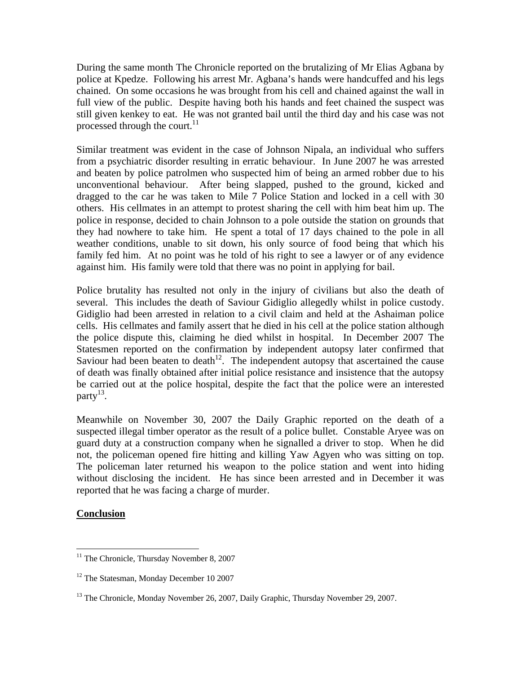During the same month The Chronicle reported on the brutalizing of Mr Elias Agbana by police at Kpedze. Following his arrest Mr. Agbana's hands were handcuffed and his legs chained. On some occasions he was brought from his cell and chained against the wall in full view of the public. Despite having both his hands and feet chained the suspect was still given kenkey to eat. He was not granted bail until the third day and his case was not processed through the court. $^{11}$ 

Similar treatment was evident in the case of Johnson Nipala, an individual who suffers from a psychiatric disorder resulting in erratic behaviour. In June 2007 he was arrested and beaten by police patrolmen who suspected him of being an armed robber due to his unconventional behaviour. After being slapped, pushed to the ground, kicked and dragged to the car he was taken to Mile 7 Police Station and locked in a cell with 30 others. His cellmates in an attempt to protest sharing the cell with him beat him up. The police in response, decided to chain Johnson to a pole outside the station on grounds that they had nowhere to take him. He spent a total of 17 days chained to the pole in all weather conditions, unable to sit down, his only source of food being that which his family fed him. At no point was he told of his right to see a lawyer or of any evidence against him. His family were told that there was no point in applying for bail.

Police brutality has resulted not only in the injury of civilians but also the death of several. This includes the death of Saviour Gidiglio allegedly whilst in police custody. Gidiglio had been arrested in relation to a civil claim and held at the Ashaiman police cells. His cellmates and family assert that he died in his cell at the police station although the police dispute this, claiming he died whilst in hospital. In December 2007 The Statesmen reported on the confirmation by independent autopsy later confirmed that Saviour had been beaten to death<sup>12</sup>. The independent autopsy that ascertained the cause of death was finally obtained after initial police resistance and insistence that the autopsy be carried out at the police hospital, despite the fact that the police were an interested party $^{13}$ .

Meanwhile on November 30, 2007 the Daily Graphic reported on the death of a suspected illegal timber operator as the result of a police bullet. Constable Aryee was on guard duty at a construction company when he signalled a driver to stop. When he did not, the policeman opened fire hitting and killing Yaw Agyen who was sitting on top. The policeman later returned his weapon to the police station and went into hiding without disclosing the incident. He has since been arrested and in December it was reported that he was facing a charge of murder.

#### **Conclusion**

<sup>&</sup>lt;sup>11</sup> The Chronicle, Thursday November 8, 2007

<sup>&</sup>lt;sup>12</sup> The Statesman, Monday December 10 2007

<sup>&</sup>lt;sup>13</sup> The Chronicle, Monday November 26, 2007, Daily Graphic, Thursday November 29, 2007.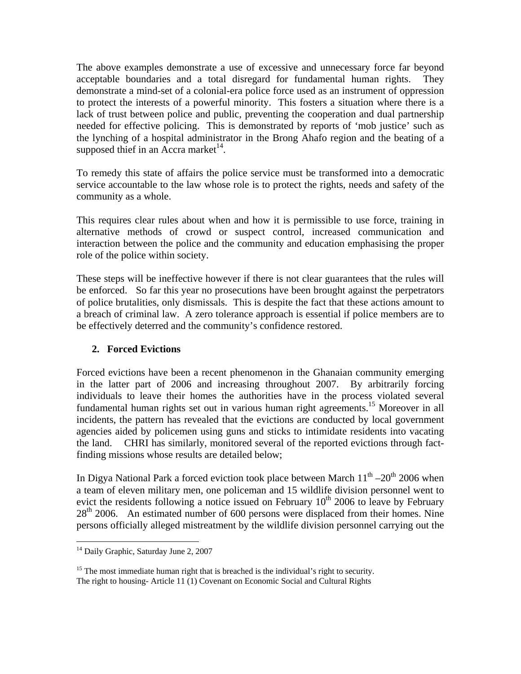The above examples demonstrate a use of excessive and unnecessary force far beyond acceptable boundaries and a total disregard for fundamental human rights. They demonstrate a mind-set of a colonial-era police force used as an instrument of oppression to protect the interests of a powerful minority. This fosters a situation where there is a lack of trust between police and public, preventing the cooperation and dual partnership needed for effective policing. This is demonstrated by reports of 'mob justice' such as the lynching of a hospital administrator in the Brong Ahafo region and the beating of a supposed thief in an Accra market<sup> $14$ </sup>.

To remedy this state of affairs the police service must be transformed into a democratic service accountable to the law whose role is to protect the rights, needs and safety of the community as a whole.

This requires clear rules about when and how it is permissible to use force, training in alternative methods of crowd or suspect control, increased communication and interaction between the police and the community and education emphasising the proper role of the police within society.

These steps will be ineffective however if there is not clear guarantees that the rules will be enforced. So far this year no prosecutions have been brought against the perpetrators of police brutalities, only dismissals. This is despite the fact that these actions amount to a breach of criminal law. A zero tolerance approach is essential if police members are to be effectively deterred and the community's confidence restored.

# **2. Forced Evictions**

Forced evictions have been a recent phenomenon in the Ghanaian community emerging in the latter part of 2006 and increasing throughout 2007. By arbitrarily forcing individuals to leave their homes the authorities have in the process violated several fundamental human rights set out in various human right agreements.<sup>15</sup> Moreover in all incidents, the pattern has revealed that the evictions are conducted by local government agencies aided by policemen using guns and sticks to intimidate residents into vacating the land. CHRI has similarly, monitored several of the reported evictions through factfinding missions whose results are detailed below;

In Digya National Park a forced eviction took place between March  $11<sup>th</sup> - 20<sup>th</sup>$  2006 when a team of eleven military men, one policeman and 15 wildlife division personnel went to evict the residents following a notice issued on February  $10<sup>th</sup>$  2006 to leave by February  $28<sup>th</sup>$  2006. An estimated number of 600 persons were displaced from their homes. Nine persons officially alleged mistreatment by the wildlife division personnel carrying out the

<sup>1</sup> <sup>14</sup> Daily Graphic, Saturday June 2, 2007

<sup>&</sup>lt;sup>15</sup> The most immediate human right that is breached is the individual's right to security. The right to housing- Article 11 (1) Covenant on Economic Social and Cultural Rights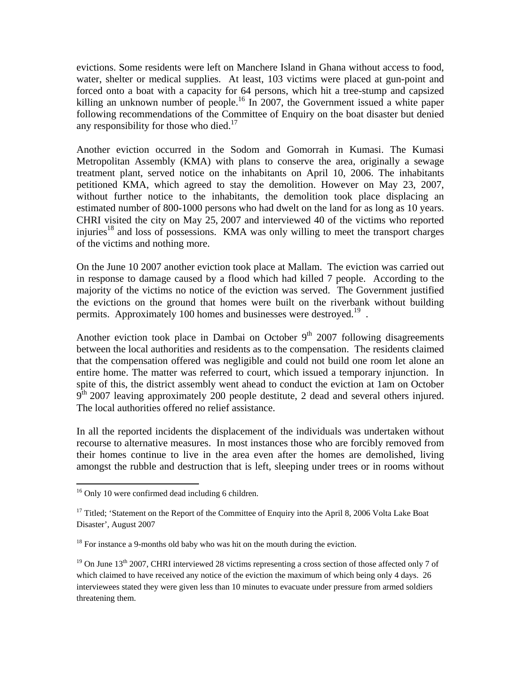evictions. Some residents were left on Manchere Island in Ghana without access to food, water, shelter or medical supplies. At least, 103 victims were placed at gun-point and forced onto a boat with a capacity for 64 persons, which hit a tree-stump and capsized killing an unknown number of people.<sup>16</sup> In 2007, the Government issued a white paper following recommendations of the Committee of Enquiry on the boat disaster but denied any responsibility for those who died. $17$ 

Another eviction occurred in the Sodom and Gomorrah in Kumasi. The Kumasi Metropolitan Assembly (KMA) with plans to conserve the area, originally a sewage treatment plant, served notice on the inhabitants on April 10, 2006. The inhabitants petitioned KMA, which agreed to stay the demolition. However on May 23, 2007, without further notice to the inhabitants, the demolition took place displacing an estimated number of 800-1000 persons who had dwelt on the land for as long as 10 years. CHRI visited the city on May 25, 2007 and interviewed 40 of the victims who reported injuries<sup>18</sup> and loss of possessions. KMA was only willing to meet the transport charges of the victims and nothing more.

On the June 10 2007 another eviction took place at Mallam. The eviction was carried out in response to damage caused by a flood which had killed 7 people. According to the majority of the victims no notice of the eviction was served. The Government justified the evictions on the ground that homes were built on the riverbank without building permits. Approximately 100 homes and businesses were destroyed.<sup>19</sup>.

Another eviction took place in Dambai on October  $9<sup>th</sup>$  2007 following disagreements between the local authorities and residents as to the compensation. The residents claimed that the compensation offered was negligible and could not build one room let alone an entire home. The matter was referred to court, which issued a temporary injunction. In spite of this, the district assembly went ahead to conduct the eviction at 1am on October  $9<sup>th</sup>$  2007 leaving approximately 200 people destitute, 2 dead and several others injured. The local authorities offered no relief assistance.

In all the reported incidents the displacement of the individuals was undertaken without recourse to alternative measures. In most instances those who are forcibly removed from their homes continue to live in the area even after the homes are demolished, living amongst the rubble and destruction that is left, sleeping under trees or in rooms without

 $16$  Only 10 were confirmed dead including 6 children.

<sup>&</sup>lt;sup>17</sup> Titled; 'Statement on the Report of the Committee of Enquiry into the April 8, 2006 Volta Lake Boat Disaster', August 2007

<sup>&</sup>lt;sup>18</sup> For instance a 9-months old baby who was hit on the mouth during the eviction.

<sup>&</sup>lt;sup>19</sup> On June 13<sup>th</sup> 2007, CHRI interviewed 28 victims representing a cross section of those affected only 7 of which claimed to have received any notice of the eviction the maximum of which being only 4 days. 26 interviewees stated they were given less than 10 minutes to evacuate under pressure from armed soldiers threatening them.